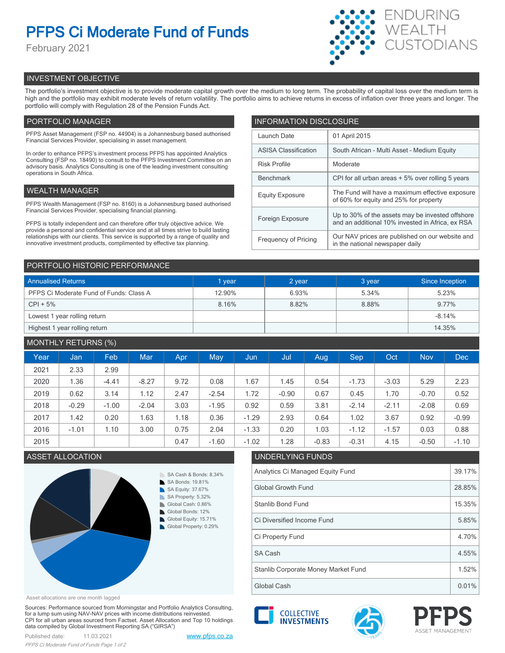# **PFPS Ci Moderate Fund of Funds**

February 2021



# INVESTMENT OBJECTIVE

The portfolio's investment objective is to provide moderate capital growth over the medium to long term. The probability of capital loss over the medium term is high and the portfolio may exhibit moderate levels of return volatility. The portfolio aims to achieve returns in excess of inflation over three years and longer. The portfolio will comply with Regulation 28 of the Pension Funds Act.

# PORTFOLIO MANAGER

PFPS Asset Management (FSP no. 44904) is a Johannesburg based authorised Financial Services Provider, specialising in asset management.

In order to enhance PFPS's investment process PFPS has appointed Analytics Consulting (FSP no. 18490) to consult to the PFPS Investment Committee on an advisory basis. Analytics Consulting is one of the leading investment consulting operations in South Africa.

# WEALTH MANAGER

PFPS Wealth Management (FSP no. 8160) is a Johannesburg based authorised Financial Services Provider, specialising financial planning.

PFPS is totally independent and can therefore offer truly objective advice. We provide a personal and confidential service and at all times strive to build lasting relationships with our clients. This service is supported by a range of quality and innovative investment products, complimented by effective tax planning.

| <b>INFORMATION DISCLOSURE</b> |                                                                                                      |  |  |  |  |
|-------------------------------|------------------------------------------------------------------------------------------------------|--|--|--|--|
| Launch Date                   | 01 April 2015                                                                                        |  |  |  |  |
| <b>ASISA Classification</b>   | South African - Multi Asset - Medium Equity                                                          |  |  |  |  |
| <b>Risk Profile</b>           | Moderate                                                                                             |  |  |  |  |
| <b>Benchmark</b>              | CPI for all urban areas + 5% over rolling 5 years                                                    |  |  |  |  |
| <b>Equity Exposure</b>        | The Fund will have a maximum effective exposure<br>of 60% for equity and 25% for property            |  |  |  |  |
| Foreign Exposure              | Up to 30% of the assets may be invested offshore<br>and an additional 10% invested in Africa, ex RSA |  |  |  |  |
| <b>Frequency of Pricing</b>   | Our NAV prices are published on our website and<br>in the national newspaper daily                   |  |  |  |  |

## PORTFOLIO HISTORIC PERFORMANCE

| <b>Annualised Returns</b>               | 1 year | 2 year | 3 year | Since Inception |
|-----------------------------------------|--------|--------|--------|-----------------|
| PFPS Ci Moderate Fund of Funds: Class A | 12.90% | 6.93%  | 5.34%  | 5.23%           |
| $CPI + 5%$                              | 8.16%  | 8.82%  | 8.88%  | 9.77%           |
| Lowest 1 year rolling return            |        |        |        | $-8.14%$        |
| Highest 1 year rolling return           |        |        |        | 14.35%          |

# MONTHLY RETURNS (%)

|      |         | $\sim$ $\sim$ |            |            |         |         |         |         |         |         |            |            |
|------|---------|---------------|------------|------------|---------|---------|---------|---------|---------|---------|------------|------------|
| Year | Jan     | Feb           | <b>Mar</b> | <b>Apr</b> | May     | Jun     | Jul     | Aug.    | Sep     | Oct     | <b>Nov</b> | <b>Dec</b> |
| 2021 | 2.33    | 2.99          |            |            |         |         |         |         |         |         |            |            |
| 2020 | 1.36    | $-4.41$       | $-8.27$    | 9.72       | 0.08    | 1.67    | 1.45    | 0.54    | $-1.73$ | $-3.03$ | 5.29       | 2.23       |
| 2019 | 0.62    | 3.14          | 1.12       | 2.47       | $-2.54$ | 1.72    | $-0.90$ | 0.67    | 0.45    | 1.70    | $-0.70$    | 0.52       |
| 2018 | $-0.29$ | $-1.00$       | $-2.04$    | 3.03       | $-1.95$ | 0.92    | 0.59    | 3.81    | $-2.14$ | $-2.11$ | $-2.08$    | 0.69       |
| 2017 | 1.42    | 0.20          | 1.63       | 1.18       | 0.36    | $-1.29$ | 2.93    | 0.64    | 1.02    | 3.67    | 0.92       | $-0.99$    |
| 2016 | $-1.01$ | 1.10          | 3.00       | 0.75       | 2.04    | $-1.33$ | 0.20    | 1.03    | $-1.12$ | $-1.57$ | 0.03       | 0.88       |
| 2015 |         |               |            | 0.47       | $-1.60$ | $-1.02$ | 1.28    | $-0.83$ | $-0.31$ | 4.15    | $-0.50$    | $-1.10$    |



#### Asset allocations are one month lagged

Sources: Performance sourced from Morningstar and Portfolio Analytics Consulting, for a lump sum using NAV-NAV prices with income distributions reinvested. CPI for all urban areas sourced from Factset. Asset Allocation and Top 10 holdings data compiled by Global Investment Reporting SA ("GIRSA")